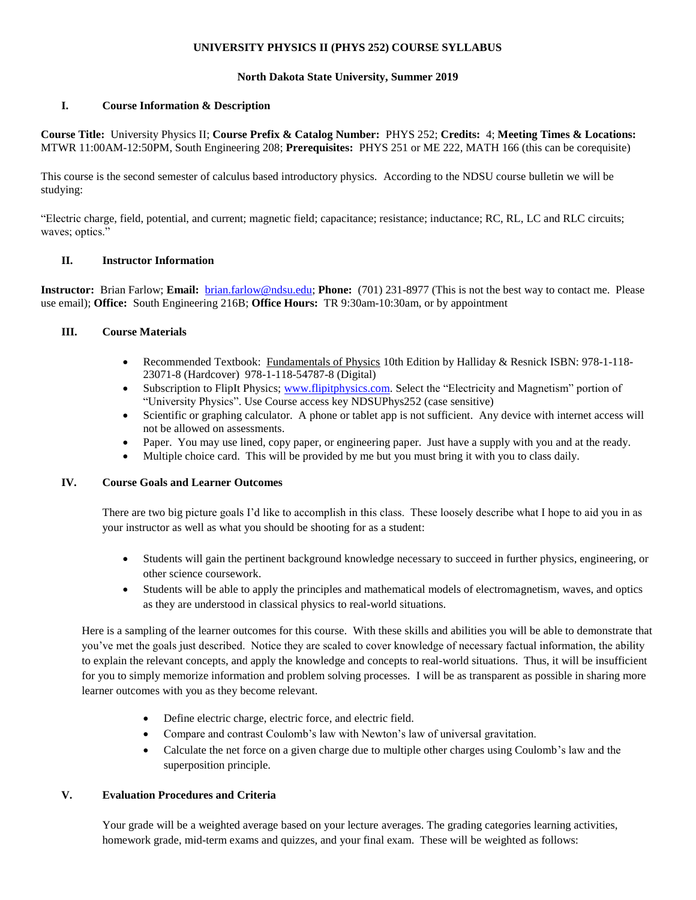# **UNIVERSITY PHYSICS II (PHYS 252) COURSE SYLLABUS**

## **North Dakota State University, Summer 2019**

## **I. Course Information & Description**

**Course Title:** University Physics II; **Course Prefix & Catalog Number:** PHYS 252; **Credits:** 4; **Meeting Times & Locations:** MTWR 11:00AM-12:50PM, South Engineering 208; **Prerequisites:** PHYS 251 or ME 222, MATH 166 (this can be corequisite)

This course is the second semester of calculus based introductory physics. According to the NDSU course bulletin we will be studying:

"Electric charge, field, potential, and current; magnetic field; capacitance; resistance; inductance; RC, RL, LC and RLC circuits; waves; optics."

#### **II. Instructor Information**

**Instructor:** Brian Farlow; **Email:** [brian.farlow@ndsu.edu;](mailto:brian.farlow@ndsu.edu) **Phone:** (701) 231-8977 (This is not the best way to contact me. Please use email); **Office:** South Engineering 216B; **Office Hours:** TR 9:30am-10:30am, or by appointment

## **III. Course Materials**

- Recommended Textbook: Fundamentals of Physics 10th Edition by Halliday & Resnick ISBN: 978-1-118-23071-8 (Hardcover) 978-1-118-54787-8 (Digital)
- Subscription to FlipIt Physics; [www.flipitphysics.com.](http://www.flipitphysics.com/) Select the "Electricity and Magnetism" portion of "University Physics". Use Course access key NDSUPhys252 (case sensitive)
- Scientific or graphing calculator. A phone or tablet app is not sufficient. Any device with internet access will not be allowed on assessments.
- Paper. You may use lined, copy paper, or engineering paper. Just have a supply with you and at the ready.
- Multiple choice card. This will be provided by me but you must bring it with you to class daily.

#### **IV. Course Goals and Learner Outcomes**

There are two big picture goals I'd like to accomplish in this class. These loosely describe what I hope to aid you in as your instructor as well as what you should be shooting for as a student:

- Students will gain the pertinent background knowledge necessary to succeed in further physics, engineering, or other science coursework.
- Students will be able to apply the principles and mathematical models of electromagnetism, waves, and optics as they are understood in classical physics to real-world situations.

Here is a sampling of the learner outcomes for this course. With these skills and abilities you will be able to demonstrate that you've met the goals just described. Notice they are scaled to cover knowledge of necessary factual information, the ability to explain the relevant concepts, and apply the knowledge and concepts to real-world situations. Thus, it will be insufficient for you to simply memorize information and problem solving processes. I will be as transparent as possible in sharing more learner outcomes with you as they become relevant.

- Define electric charge, electric force, and electric field.
- Compare and contrast Coulomb's law with Newton's law of universal gravitation.
- Calculate the net force on a given charge due to multiple other charges using Coulomb's law and the superposition principle.

## **V. Evaluation Procedures and Criteria**

Your grade will be a weighted average based on your lecture averages. The grading categories learning activities, homework grade, mid-term exams and quizzes, and your final exam. These will be weighted as follows: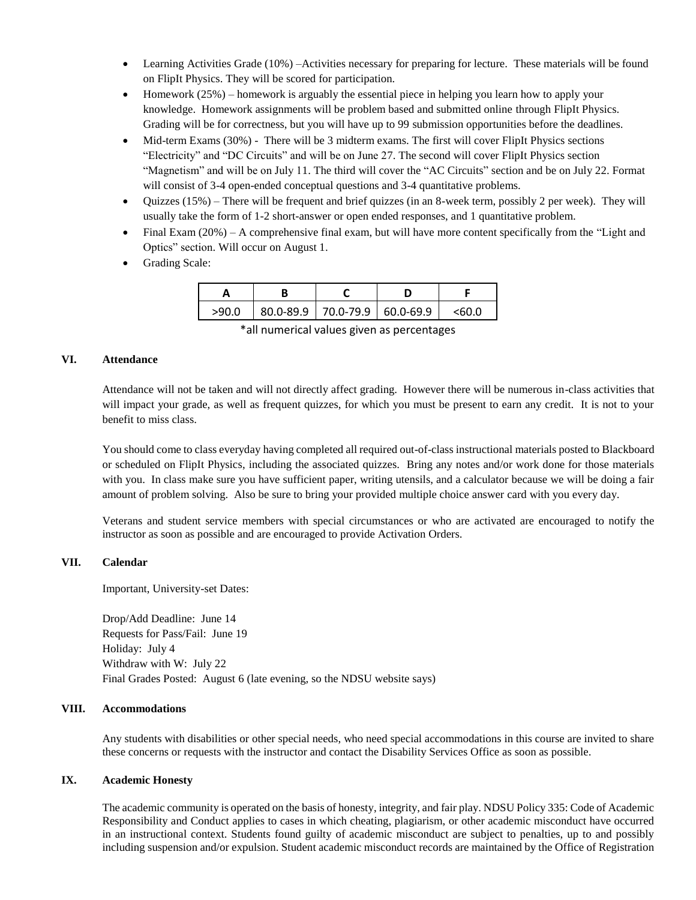- Learning Activities Grade (10%) –Activities necessary for preparing for lecture. These materials will be found on FlipIt Physics. They will be scored for participation.
- Homework (25%) homework is arguably the essential piece in helping you learn how to apply your knowledge. Homework assignments will be problem based and submitted online through FlipIt Physics. Grading will be for correctness, but you will have up to 99 submission opportunities before the deadlines.
- Mid-term Exams (30%) There will be 3 midterm exams. The first will cover FlipIt Physics sections "Electricity" and "DC Circuits" and will be on June 27. The second will cover FlipIt Physics section "Magnetism" and will be on July 11. The third will cover the "AC Circuits" section and be on July 22. Format will consist of 3-4 open-ended conceptual questions and 3-4 quantitative problems.
- Quizzes (15%) There will be frequent and brief quizzes (in an 8-week term, possibly 2 per week). They will usually take the form of 1-2 short-answer or open ended responses, and 1 quantitative problem.
- Final Exam (20%) A comprehensive final exam, but will have more content specifically from the "Light and Optics" section. Will occur on August 1.
- Grading Scale:

| >90.O | $80.0 - 89.9$   70.0-79.9   60.0-69.9 |  |
|-------|---------------------------------------|--|

\*all numerical values given as percentages

## **VI. Attendance**

Attendance will not be taken and will not directly affect grading. However there will be numerous in-class activities that will impact your grade, as well as frequent quizzes, for which you must be present to earn any credit. It is not to your benefit to miss class.

You should come to class everyday having completed all required out-of-class instructional materials posted to Blackboard or scheduled on FlipIt Physics, including the associated quizzes. Bring any notes and/or work done for those materials with you. In class make sure you have sufficient paper, writing utensils, and a calculator because we will be doing a fair amount of problem solving. Also be sure to bring your provided multiple choice answer card with you every day.

Veterans and student service members with special circumstances or who are activated are encouraged to notify the instructor as soon as possible and are encouraged to provide Activation Orders.

## **VII. Calendar**

Important, University-set Dates:

Drop/Add Deadline: June 14 Requests for Pass/Fail: June 19 Holiday: July 4 Withdraw with W: July 22 Final Grades Posted: August 6 (late evening, so the NDSU website says)

## **VIII. Accommodations**

Any students with disabilities or other special needs, who need special accommodations in this course are invited to share these concerns or requests with the instructor and contact the Disability Services Office as soon as possible.

## **IX. Academic Honesty**

The academic community is operated on the basis of honesty, integrity, and fair play. NDSU Policy 335: Code of Academic Responsibility and Conduct applies to cases in which cheating, plagiarism, or other academic misconduct have occurred in an instructional context. Students found guilty of academic misconduct are subject to penalties, up to and possibly including suspension and/or expulsion. Student academic misconduct records are maintained by the Office of Registration